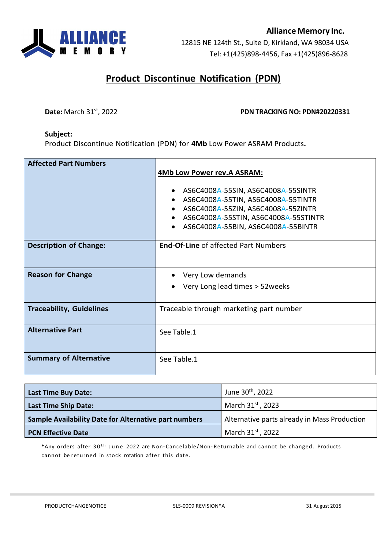

# **Product Discontinue Notification (PDN)**

#### **Date:** March 31st, 2022 **PDN TRACKING NO: PDN#20220331**

#### **Subject:**

Product Discontinue Notification (PDN) for **4Mb** Low Power ASRAM Products**.**

| <b>Affected Part Numbers</b>    | 4Mb Low Power rev.A ASRAM:<br>AS6C4008A-55SIN, AS6C4008A-55SINTR<br>AS6C4008A-55TIN, AS6C4008A-55TINTR<br>AS6C4008A-55ZIN, AS6C4008A-55ZINTR<br>AS6C4008A-55STIN, AS6C4008A-55STINTR<br>AS6C4008A-55BIN, AS6C4008A-55BINTR |
|---------------------------------|----------------------------------------------------------------------------------------------------------------------------------------------------------------------------------------------------------------------------|
| <b>Description of Change:</b>   | <b>End-Of-Line of affected Part Numbers</b>                                                                                                                                                                                |
| <b>Reason for Change</b>        | Very Low demands<br>Very Long lead times > 52 weeks                                                                                                                                                                        |
| <b>Traceability, Guidelines</b> | Traceable through marketing part number                                                                                                                                                                                    |
| <b>Alternative Part</b>         | See Table.1                                                                                                                                                                                                                |
| <b>Summary of Alternative</b>   | See Table.1                                                                                                                                                                                                                |

| <b>Last Time Buy Date:</b>                                   | June 30 <sup>th</sup> , 2022                 |  |
|--------------------------------------------------------------|----------------------------------------------|--|
| <b>Last Time Ship Date:</b>                                  | March 31st, 2023                             |  |
| <b>Sample Availability Date for Alternative part numbers</b> | Alternative parts already in Mass Production |  |
| <b>PCN Effective Date</b>                                    | March 31st, 2022                             |  |

\*Any orders after 30<sup>th</sup> June 2022 are Non-Cancelable/Non-Returnable and cannot be changed. Products cannot be returned in stock rotation after this date.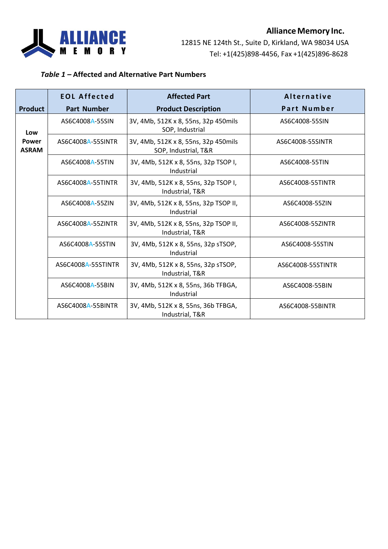

## **AllianceMemory Inc.**

12815 NE 124th St., Suite D, Kirkland, WA 98034 USA Tel: +1(425)898-4456, Fax +1(425)896-8628

### *Table 1 –* **Affected and Alternative Part Numbers**

|                              | <b>EOL Affected</b>                                                   | <b>Affected Part</b>                                                 | Alternative       |  |
|------------------------------|-----------------------------------------------------------------------|----------------------------------------------------------------------|-------------------|--|
| <b>Product</b>               | <b>Part Number</b>                                                    | <b>Product Description</b>                                           | Part Number       |  |
| Low                          | AS6C4008A-55SIN                                                       | 3V, 4Mb, 512K x 8, 55ns, 32p 450mils<br>SOP, Industrial              | AS6C4008-55SIN    |  |
| <b>Power</b><br><b>ASRAM</b> | AS6C4008A-55SINTR                                                     | 3V, 4Mb, 512K x 8, 55ns, 32p 450mils<br>SOP, Industrial, T&R         | AS6C4008-55SINTR  |  |
|                              | 3V, 4Mb, 512K x 8, 55ns, 32p TSOP I,<br>AS6C4008A-55TIN<br>Industrial |                                                                      | AS6C4008-55TIN    |  |
|                              | AS6C4008A-55TINTR                                                     | 3V, 4Mb, 512K x 8, 55ns, 32p TSOP I,<br>Industrial, T&R              | AS6C4008-55TINTR  |  |
|                              | AS6C4008A-55ZIN                                                       | 3V, 4Mb, 512K x 8, 55ns, 32p TSOP II,<br>Industrial                  | AS6C4008-55ZIN    |  |
|                              | AS6C4008A-55ZINTR                                                     | 3V, 4Mb, 512K x 8, 55ns, 32p TSOP II,<br>Industrial, T&R             | AS6C4008-55ZINTR  |  |
|                              | AS6C4008A-55STIN                                                      | 3V, 4Mb, 512K x 8, 55ns, 32p sTSOP,<br>AS6C4008-55STIN<br>Industrial |                   |  |
|                              | AS6C4008A-55STINTR                                                    | 3V, 4Mb, 512K x 8, 55ns, 32p sTSOP,<br>Industrial, T&R               | AS6C4008-55STINTR |  |
|                              | AS6C4008A-55BIN                                                       | 3V, 4Mb, 512K x 8, 55ns, 36b TFBGA,<br>Industrial                    | AS6C4008-55BIN    |  |
|                              | AS6C4008A-55BINTR                                                     | 3V, 4Mb, 512K x 8, 55ns, 36b TFBGA,<br>Industrial, T&R               | AS6C4008-55BINTR  |  |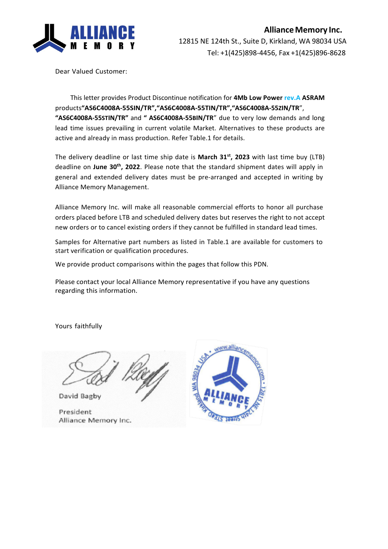

Dear Valued Customer:

This letter provides Product Discontinue notification for **4Mb Low Power rev.A ASRAM**  products**"AS6C4008A-55SIN/TR","AS6C4008A-55TIN/TR","AS6C4008A-55ZIN/TR**", **"AS6C4008A-55STIN/TR"** and **" AS6C4008A-55BIN/TR**" due to very low demands and long lead time issues prevailing in current volatile Market. Alternatives to these products are active and already in mass production. Refer Table.1 for details.

The delivery deadline or last time ship date is **March 31st, 2023** with last time buy (LTB) deadline on **June 30th, 2022**. Please note that the standard shipment dates will apply in general and extended delivery dates must be pre-arranged and accepted in writing by Alliance Memory Management.

Alliance Memory Inc. will make all reasonable commercial efforts to honor all purchase orders placed before LTB and scheduled delivery dates but reserves the right to not accept new orders or to cancel existing orders if they cannot be fulfilled in standard lead times.

Samples for Alternative part numbers as listed in Table.1 are available for customers to start verification or qualification procedures.

We provide product comparisons within the pages that follow this PDN.

Please contact your local Alliance Memory representative if you have any questions regarding this information.

Yours faithfully

David Bagby

President Alliance Memory Inc.